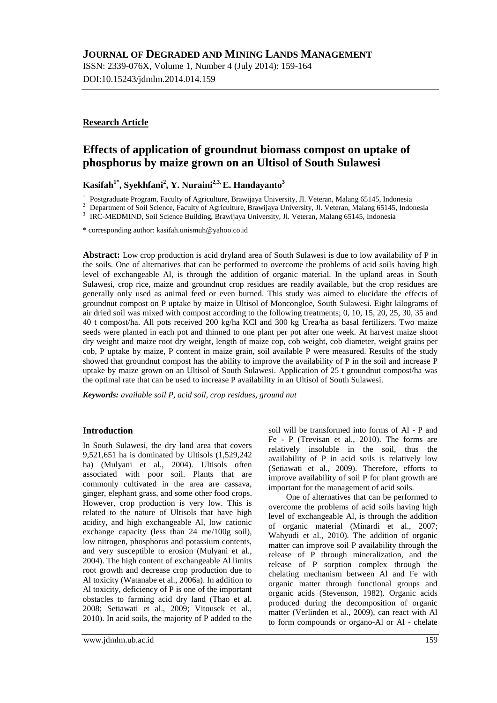ISSN: 2339-076X, Volume 1, Number 4 (July 2014): 159-164 DOI:10.15243/jdmlm.2014.014.159

## **Research Article**

# **Effects of application of groundnut biomass compost on uptake of phosphorus by maize grown on an Ultisol of South Sulawesi**

## **Kasifah1\*, Syekhfani2 , Y. Nuraini2,3, E. Handayanto3**

<sup>1</sup> Postgraduate Program, Faculty of Agriculture, Brawijaya University, Jl. Veteran, Malang 65145, Indonesia<br><sup>2</sup> Department of Soil Science, Faculty of Agriculture, Brawijaya University, Jl. Veteran, Malang 65145, Indones

\* corresponding author[: kasifah.unismuh@yahoo.co.id](mailto:kasifah.unismuh@yahoo.co.id)

**Abstract:** Low crop production is acid dryland area of South Sulawesi is due to low availability of P in the soils. One of alternatives that can be performed to overcome the problems of acid soils having high level of exchangeable Al, is through the addition of organic material. In the upland areas in South Sulawesi, crop rice, maize and groundnut crop residues are readily available, but the crop residues are generally only used as animal feed or even burned. This study was aimed to elucidate the effects of groundnut compost on P uptake by maize in Ultisol of Moncongloe, South Sulawesi. Eight kilograms of air dried soil was mixed with compost according to the following treatments; 0, 10, 15, 20, 25, 30, 35 and 40 t compost/ha. All pots received 200 kg/ha KCl and 300 kg Urea/ha as basal fertilizers. Two maize seeds were planted in each pot and thinned to one plant per pot after one week. At harvest maize shoot dry weight and maize root dry weight, length of maize cop, cob weight, cob diameter, weight grains per cob, P uptake by maize, P content in maize grain, soil available P were measured. Results of the study showed that groundnut compost has the ability to improve the availability of P in the soil and increase P uptake by maize grown on an Ultisol of South Sulawesi. Application of 25 t groundnut compost/ha was the optimal rate that can be used to increase P availability in an Ultisol of South Sulawesi.

*Keywords: available soil P, acid soil, crop residues, ground nut*

## **Introduction**

In South Sulawesi, the dry land area that covers 9,521,651 ha is dominated by Ultisols (1,529,242 ha) (Mulyani et al., 2004). Ultisols often associated with poor soil. Plants that are commonly cultivated in the area are cassava, ginger, elephant grass, and some other food crops. However, crop production is very low. This is related to the nature of Ultisols that have high acidity, and high exchangeable Al, low cationic exchange capacity (less than 24 me/100g soil), low nitrogen, phosphorus and potassium contents, and very susceptible to erosion (Mulyani et al., 2004). The high content of exchangeable Al limits root growth and decrease crop production due to Al toxicity (Watanabe et al., 2006a). In addition to Al toxicity, deficiency of P is one of the important obstacles to farming acid dry land (Thao et al. 2008; Setiawati et al., 2009; Vitousek et al., 2010). In acid soils, the majority of P added to the soil will be transformed into forms of Al - P and Fe - P (Trevisan et al., 2010). The forms are relatively insoluble in the soil, thus the availability of P in acid soils is relatively low (Setiawati et al., 2009). Therefore, efforts to improve availability of soil P for plant growth are important for the management of acid soils.

One of alternatives that can be performed to overcome the problems of acid soils having high level of exchangeable Al, is through the addition of organic material (Minardi et al., 2007; Wahyudi et al., 2010). The addition of organic matter can improve soil P availability through the release of P through mineralization, and the release of P sorption complex through the chelating mechanism between Al and Fe with organic matter through functional groups and organic acids (Stevenson, 1982). Organic acids produced during the decomposition of organic matter (Verlinden et al., 2009), can react with Al to form compounds or organo-Al or Al - chelate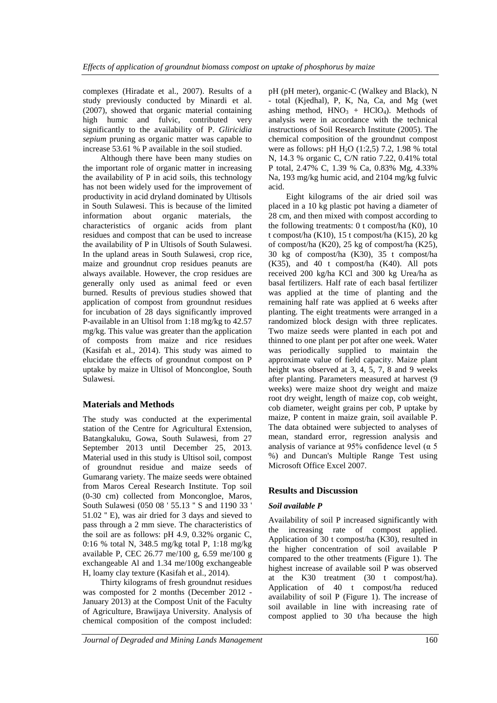complexes (Hiradate et al., 2007). Results of a study previously conducted by Minardi et al. (2007), showed that organic material containing high humic and fulvic, contributed very significantly to the availability of P. *Gliricidia sepium* pruning as organic matter was capable to increase 53.61 % P available in the soil studied.

Although there have been many studies on the important role of organic matter in increasing the availability of P in acid soils, this technology has not been widely used for the improvement of productivity in acid dryland dominated by Ultisols in South Sulawesi. This is because of the limited information about organic materials, the characteristics of organic acids from plant residues and compost that can be used to increase the availability of P in Ultisols of South Sulawesi. In the upland areas in South Sulawesi, crop rice, maize and groundnut crop residues peanuts are always available. However, the crop residues are generally only used as animal feed or even burned. Results of previous studies showed that application of compost from groundnut residues for incubation of 28 days significantly improved P-available in an Ultisol from 1:18 mg/kg to 42.57 mg/kg. This value was greater than the application of composts from maize and rice residues (Kasifah et al., 2014). This study was aimed to elucidate the effects of groundnut compost on P uptake by maize in Ultisol of Moncongloe, South Sulawesi.

## **Materials and Methods**

The study was conducted at the experimental station of the Centre for Agricultural Extension, Batangkaluku, Gowa, South Sulawesi, from 27 September 2013 until December 25, 2013. Material used in this study is Ultisol soil, compost of groundnut residue and maize seeds of Gumarang variety. The maize seeds were obtained from Maros Cereal Research Institute. Top soil (0-30 cm) collected from Moncongloe, Maros, South Sulawesi (050 08 ' 55.13 '' S and 1190 33 ' 51.02 '' E), was air dried for 3 days and sieved to pass through a 2 mm sieve. The characteristics of the soil are as follows: pH 4.9, 0.32% organic C, 0:16 % total N, 348.5 mg/kg total P, 1:18 mg/kg available P, CEC 26.77 me/100 g, 6.59 me/100 g exchangeable Al and 1.34 me/100g exchangeable H, loamy clay texture (Kasifah et al., 2014).

Thirty kilograms of fresh groundnut residues was composted for 2 months (December 2012 - January 2013) at the Compost Unit of the Faculty of Agriculture, Brawijaya University. Analysis of chemical composition of the compost included:

pH (pH meter), organic-C (Walkey and Black), N - total (Kjedhal), P, K, Na, Ca, and Mg (wet ashing method,  $HNO<sub>3</sub> + HClO<sub>4</sub>$ ). Methods of analysis were in accordance with the technical instructions of Soil Research Institute (2005). The chemical composition of the groundnut compost were as follows: pH  $H_2O$  (1:2,5) 7.2, 1.98 % total N, 14.3 % organic C, C/N ratio 7.22, 0.41% total P total, 2.47% C, 1.39 % Ca, 0.83% Mg, 4.33% Na, 193 mg/kg humic acid, and 2104 mg/kg fulvic acid.

Eight kilograms of the air dried soil was placed in a 10 kg plastic pot having a diameter of 28 cm, and then mixed with compost according to the following treatments: 0 t compost/ha (K0), 10 t compost/ha (K10), 15 t compost/ha (K15), 20 kg of compost/ha (K20), 25 kg of compost/ha (K25), 30 kg of compost/ha (K30), 35 t compost/ha (K35), and 40 t compost/ha (K40). All pots received 200 kg/ha KCl and 300 kg Urea/ha as basal fertilizers. Half rate of each basal fertilizer was applied at the time of planting and the remaining half rate was applied at 6 weeks after planting. The eight treatments were arranged in a randomized block design with three replicates. Two maize seeds were planted in each pot and thinned to one plant per pot after one week. Water was periodically supplied to maintain the approximate value of field capacity. Maize plant height was observed at 3, 4, 5, 7, 8 and 9 weeks after planting. Parameters measured at harvest (9 weeks) were maize shoot dry weight and maize root dry weight, length of maize cop, cob weight, cob diameter, weight grains per cob, P uptake by maize, P content in maize grain, soil available P. The data obtained were subjected to analyses of mean, standard error, regression analysis and analysis of variance at 95% confidence level ( $\alpha$  5) %) and Duncan's Multiple Range Test using Microsoft Office Excel 2007.

## **Results and Discussion**

## *Soil available P*

Availability of soil P increased significantly with the increasing rate of compost applied. Application of 30 t compost/ha (K30), resulted in the higher concentration of soil available P compared to the other treatments (Figure 1). The highest increase of available soil P was observed at the K30 treatment (30 t compost/ha). Application of 40 t compost/ha reduced availability of soil P (Figure 1). The increase of soil available in line with increasing rate of compost applied to 30 t/ha because the high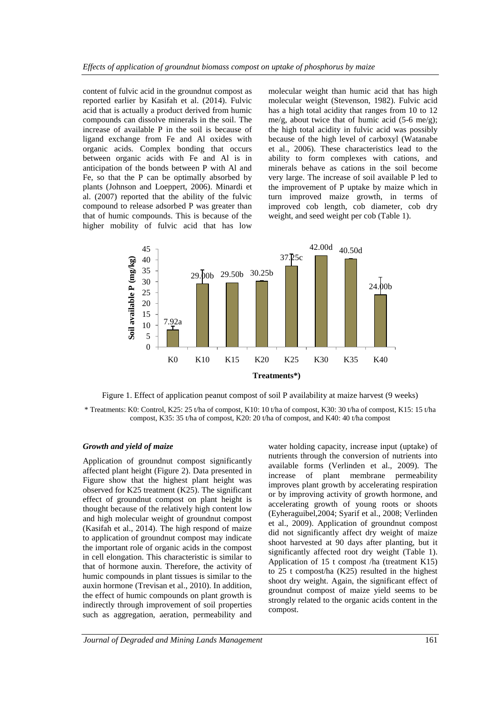content of fulvic acid in the groundnut compost as reported earlier by Kasifah et al. (2014). Fulvic acid that is actually a product derived from humic compounds can dissolve minerals in the soil. The increase of available P in the soil is because of ligand exchange from Fe and Al oxides with organic acids. Complex bonding that occurs between organic acids with Fe and Al is in anticipation of the bonds between P with Al and Fe, so that the P can be optimally absorbed by plants (Johnson and Loeppert, 2006). Minardi et al. (2007) reported that the ability of the fulvic compound to release adsorbed P was greater than that of humic compounds. This is because of the higher mobility of fulvic acid that has low

molecular weight than humic acid that has high molecular weight (Stevenson, 1982). Fulvic acid has a high total acidity that ranges from 10 to 12 me/g, about twice that of humic acid  $(5-6 \text{ me/g})$ ; the high total acidity in fulvic acid was possibly because of the high level of carboxyl (Watanabe et al., 2006). These characteristics lead to the ability to form complexes with cations, and minerals behave as cations in the soil become very large. The increase of soil available P led to the improvement of P uptake by maize which in turn improved maize growth, in terms of improved cob length, cob diameter, cob dry weight, and seed weight per cob (Table 1).



Figure 1. Effect of application peanut compost of soil P availability at maize harvest (9 weeks) \* Treatments: K0: Control, K25: 25 t/ha of compost, K10: 10 t/ha of compost, K30: 30 t/ha of compost, K15: 15 t/ha compost, K35: 35 t/ha of compost, K20: 20 t/ha of compost, and K40: 40 t/ha compost

#### *Growth and yield of maize*

Application of groundnut compost significantly affected plant height (Figure 2). Data presented in Figure show that the highest plant height was observed for K25 treatment (K25). The significant effect of groundnut compost on plant height is thought because of the relatively high content low and high molecular weight of groundnut compost (Kasifah et al., 2014). The high respond of maize to application of groundnut compost may indicate the important role of organic acids in the compost in cell elongation. This characteristic is similar to that of hormone auxin. Therefore, the activity of humic compounds in plant tissues is similar to the auxin hormone (Trevisan et al., 2010). In addition, the effect of humic compounds on plant growth is indirectly through improvement of soil properties such as aggregation, aeration, permeability and

water holding capacity, increase input (uptake) of nutrients through the conversion of nutrients into available forms (Verlinden et al., 2009). The increase of plant membrane permeability improves plant growth by accelerating respiration or by improving activity of growth hormone, and accelerating growth of young roots or shoots (Eyheraguibel,2004; Syarif et al., 2008; Verlinden et al., 2009). Application of groundnut compost did not significantly affect dry weight of maize shoot harvested at 90 days after planting, but it significantly affected root dry weight (Table 1). Application of 15 t compost /ha (treatment K15) to 25 t compost/ha (K25) resulted in the highest shoot dry weight. Again, the significant effect of groundnut compost of maize yield seems to be strongly related to the organic acids content in the compost.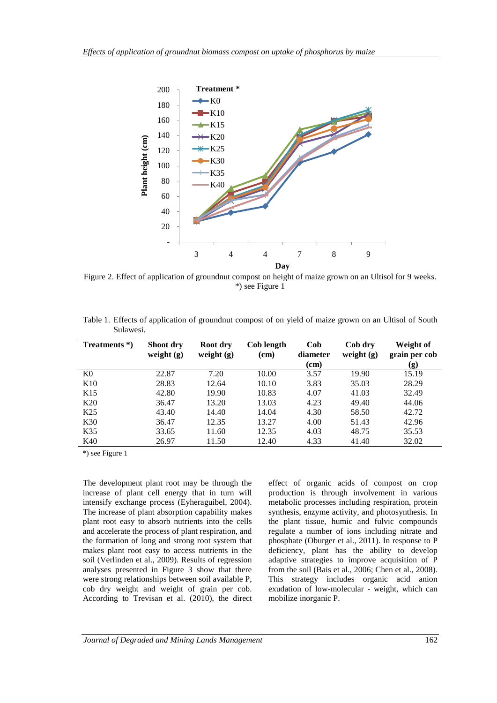

Figure 2. Effect of application of groundnut compost on height of maize grown on an Ultisol for 9 weeks. \*) see Figure 1

|           | Table 1. Effects of application of groundnut compost of on yield of maize grown on an Ultisol of South |  |  |  |  |  |
|-----------|--------------------------------------------------------------------------------------------------------|--|--|--|--|--|
| Sulawesi. |                                                                                                        |  |  |  |  |  |

| Treatments *)   | Shoot dry<br>weight $(g)$ | Root dry<br>weight $(g)$ | Cob length<br>(cm) | Cob<br>diameter<br>(cm) | Cob dry<br>weight $(g)$ | Weight of<br>grain per cob<br>(g) |
|-----------------|---------------------------|--------------------------|--------------------|-------------------------|-------------------------|-----------------------------------|
| K <sub>0</sub>  | 22.87                     | 7.20                     | 10.00              | 3.57                    | 19.90                   | 15.19                             |
| K10             | 28.83                     | 12.64                    | 10.10              | 3.83                    | 35.03                   | 28.29                             |
| K <sub>15</sub> | 42.80                     | 19.90                    | 10.83              | 4.07                    | 41.03                   | 32.49                             |
| K20             | 36.47                     | 13.20                    | 13.03              | 4.23                    | 49.40                   | 44.06                             |
| K <sub>25</sub> | 43.40                     | 14.40                    | 14.04              | 4.30                    | 58.50                   | 42.72                             |
| K <sub>30</sub> | 36.47                     | 12.35                    | 13.27              | 4.00                    | 51.43                   | 42.96                             |
| K35             | 33.65                     | 11.60                    | 12.35              | 4.03                    | 48.75                   | 35.53                             |
| K40             | 26.97                     | 11.50                    | 12.40              | 4.33                    | 41.40                   | 32.02                             |

\*) see Figure 1

The development plant root may be through the increase of plant cell energy that in turn will intensify exchange process (Eyheraguibel, 2004). The increase of plant absorption capability makes plant root easy to absorb nutrients into the cells and accelerate the process of plant respiration, and the formation of long and strong root system that makes plant root easy to access nutrients in the soil (Verlinden et al., 2009). Results of regression analyses presented in Figure 3 show that there were strong relationships between soil available P, cob dry weight and weight of grain per cob. According to Trevisan et al. (2010), the direct effect of organic acids of compost on crop production is through involvement in various metabolic processes including respiration, protein synthesis, enzyme activity, and photosynthesis. In the plant tissue, humic and fulvic compounds regulate a number of ions including nitrate and phosphate (Oburger et al., 2011). In response to P deficiency, plant has the ability to develop adaptive strategies to improve acquisition of P from the soil (Bais et al., 2006; Chen et al., 2008). This strategy includes organic acid anion exudation of low-molecular - weight, which can mobilize inorganic P.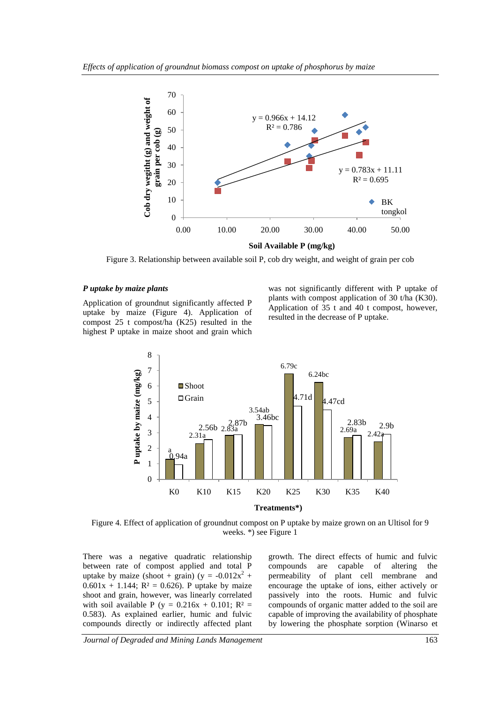

Figure 3. Relationship between available soil P, cob dry weight, and weight of grain per cob

#### *P uptake by maize plants*

Application of groundnut significantly affected P uptake by maize (Figure 4). Application of compost 25 t compost/ha (K25) resulted in the highest P uptake in maize shoot and grain which

was not significantly different with P uptake of plants with compost application of 30 t/ha (K30). Application of 35 t and 40 t compost, however, resulted in the decrease of P uptake.



Figure 4. Effect of application of groundnut compost on P uptake by maize grown on an Ultisol for 9 weeks. \*) see Figure 1

There was a negative quadratic relationship between rate of compost applied and total P uptake by maize (shoot + grain) (y =  $-0.012x^2$  +  $0.601x + 1.144$ ; R<sup>2</sup> = 0.626). P uptake by maize shoot and grain, however, was linearly correlated with soil available P (y =  $0.216x + 0.101$ ; R<sup>2</sup> = 0.583). As explained earlier, humic and fulvic compounds directly or indirectly affected plant growth. The direct effects of humic and fulvic compounds are capable of altering the permeability of plant cell membrane and encourage the uptake of ions, either actively or passively into the roots. Humic and fulvic compounds of organic matter added to the soil are capable of improving the availability of phosphate by lowering the phosphate sorption (Winarso et